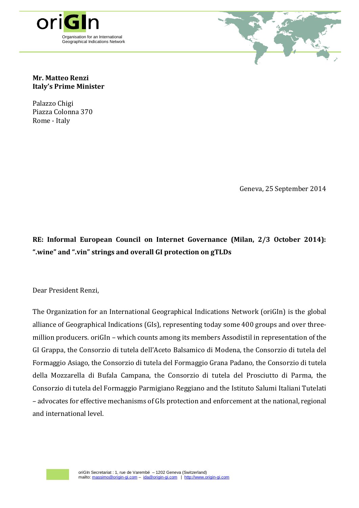



## **Mr. Matteo Renzi Italy's Prime Minister**

Palazzo Chigi Piazza Colonna 370 Rome - Italy

Geneva, 25 September 2014

**RE: Informal European Council on Internet Governance (Milan, 2/3 October 2014): ".wine" and ".vin" strings and overall GI protection on gTLDs** 

Dear President Renzi,

The Organization for an International Geographical Indications Network (oriGIn) is the global alliance of Geographical Indications (GIs), representing today some 400 groups and over threemillion producers. oriGIn – which counts among its members Assodistil in representation of the GI Grappa, the Consorzio di tutela dell'Aceto Balsamico di Modena, the Consorzio di tutela del Formaggio Asiago, the Consorzio di tutela del Formaggio Grana Padano, the Consorzio di tutela della Mozzarella di Bufala Campana, the Consorzio di tutela del Prosciutto di Parma, the Consorzio di tutela del Formaggio Parmigiano Reggiano and the Istituto Salumi Italiani Tutelati – advocates for effective mechanisms of GIs protection and enforcement at the national, regional and international level.

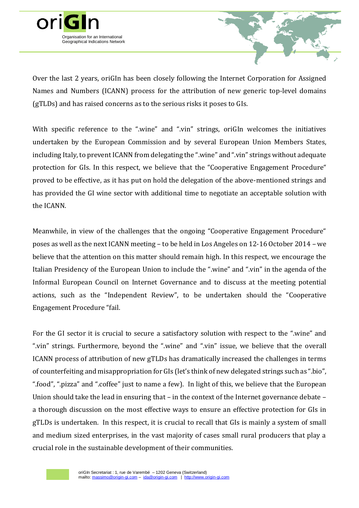

Over the last 2 years, oriGIn has been closely following the Internet Corporation for Assigned Names and Numbers (ICANN) process for the attribution of new generic top-level domains (gTLDs) and has raised concerns as to the serious risks it poses to GIs.

With specific reference to the ".wine" and ".vin" strings, oriGIn welcomes the initiatives undertaken by the European Commission and by several European Union Members States, including Italy, to prevent ICANN from delegating the ".wine" and ".vin" strings without adequate protection for GIs. In this respect, we believe that the "Cooperative Engagement Procedure" proved to be effective, as it has put on hold the delegation of the above-mentioned strings and has provided the GI wine sector with additional time to negotiate an acceptable solution with the ICANN.

Meanwhile, in view of the challenges that the ongoing "Cooperative Engagement Procedure" poses as well as the next ICANN meeting – to be held in Los Angeles on 12-16 October 2014 – we believe that the attention on this matter should remain high. In this respect, we encourage the Italian Presidency of the European Union to include the ".wine" and ".vin" in the agenda of the Informal European Council on Internet Governance and to discuss at the meeting potential actions, such as the "Independent Review", to be undertaken should the "Cooperative Engagement Procedure "fail.

For the GI sector it is crucial to secure a satisfactory solution with respect to the ".wine" and ".vin" strings. Furthermore, beyond the ".wine" and ".vin" issue, we believe that the overall ICANN process of attribution of new gTLDs has dramatically increased the challenges in terms of counterfeiting and misappropriation for GIs (let's think of new delegated strings such as ".bio", ".food", ".pizza" and ".coffee" just to name a few). In light of this, we believe that the European Union should take the lead in ensuring that – in the context of the Internet governance debate – a thorough discussion on the most effective ways to ensure an effective protection for GIs in gTLDs is undertaken. In this respect, it is crucial to recall that GIs is mainly a system of small and medium sized enterprises, in the vast majority of cases small rural producers that play a crucial role in the sustainable development of their communities.